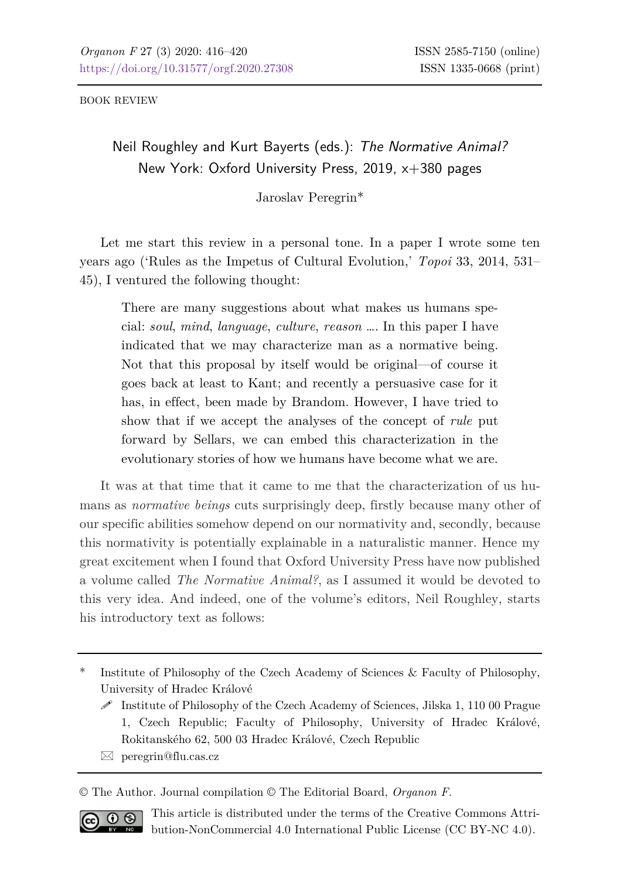BOOK REVIEW

## Neil Roughley and Kurt Bayerts (eds.): *The Normative Animal?* New York: Oxford University Press, 2019, x+380 pages

Jaroslav Peregrin\*

Let me start this review in a personal tone. In a paper I wrote some ten years ago ('Rules as the Impetus of Cultural Evolution,' *Topoi* 33, 2014, 531– 45), I ventured the following thought:

There are many suggestions about what makes us humans special: *soul*, *mind*, *language*, *culture*, *reason* …. In this paper I have indicated that we may characterize man as a normative being. Not that this proposal by itself would be original—of course it goes back at least to Kant; and recently a persuasive case for it has, in effect, been made by Brandom. However, I have tried to show that if we accept the analyses of the concept of *rule* put forward by Sellars, we can embed this characterization in the evolutionary stories of how we humans have become what we are.

It was at that time that it came to me that the characterization of us humans as *normative beings* cuts surprisingly deep, firstly because many other of our specific abilities somehow depend on our normativity and, secondly, because this normativity is potentially explainable in a naturalistic manner. Hence my great excitement when I found that Oxford University Press have now published a volume called *The Normative Animal?*, as I assumed it would be devoted to this very idea. And indeed, one of the volume's editors, Neil Roughley, starts his introductory text as follows:

 $\boxtimes$  peregrin@flu.cas.cz

© The Author. Journal compilation © The Editorial Board, *Organon F*.



This article is distributed under the terms of the Creative Commons Attribution-NonCommercial 4.0 International Public License (CC BY-NC 4.0).

Institute of Philosophy of the Czech Academy of Sciences & Faculty of Philosophy, University of Hradec Králové

 $\mathscr S$  Institute of Philosophy of the Czech Academy of Sciences, Jilska 1, 110 00 Prague 1, Czech Republic; Faculty of Philosophy, University of Hradec Králové, Rokitanského 62, 500 03 Hradec Králové, Czech Republic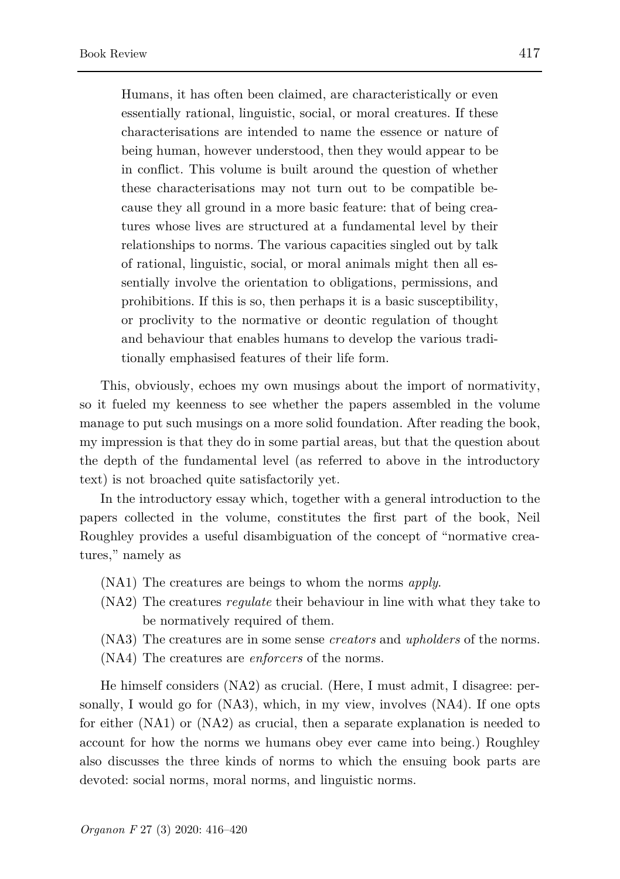Humans, it has often been claimed, are characteristically or even essentially rational, linguistic, social, or moral creatures. If these characterisations are intended to name the essence or nature of being human, however understood, then they would appear to be in conflict. This volume is built around the question of whether these characterisations may not turn out to be compatible because they all ground in a more basic feature: that of being creatures whose lives are structured at a fundamental level by their relationships to norms. The various capacities singled out by talk of rational, linguistic, social, or moral animals might then all essentially involve the orientation to obligations, permissions, and prohibitions. If this is so, then perhaps it is a basic susceptibility, or proclivity to the normative or deontic regulation of thought and behaviour that enables humans to develop the various traditionally emphasised features of their life form.

This, obviously, echoes my own musings about the import of normativity, so it fueled my keenness to see whether the papers assembled in the volume manage to put such musings on a more solid foundation. After reading the book, my impression is that they do in some partial areas, but that the question about the depth of the fundamental level (as referred to above in the introductory text) is not broached quite satisfactorily yet.

In the introductory essay which, together with a general introduction to the papers collected in the volume, constitutes the first part of the book, Neil Roughley provides a useful disambiguation of the concept of "normative creatures," namely as

- (NA1) The creatures are beings to whom the norms *apply*.
- (NA2) The creatures *regulate* their behaviour in line with what they take to be normatively required of them.
- (NA3) The creatures are in some sense *creators* and *upholders* of the norms.
- (NA4) The creatures are *enforcers* of the norms.

He himself considers (NA2) as crucial. (Here, I must admit, I disagree: personally, I would go for (NA3), which, in my view, involves (NA4). If one opts for either (NA1) or (NA2) as crucial, then a separate explanation is needed to account for how the norms we humans obey ever came into being.) Roughley also discusses the three kinds of norms to which the ensuing book parts are devoted: social norms, moral norms, and linguistic norms.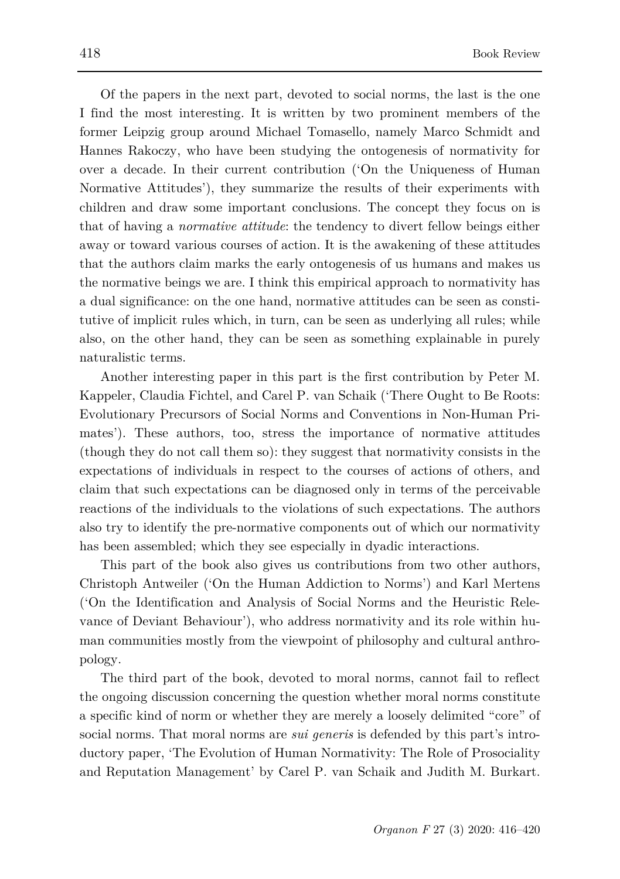Of the papers in the next part, devoted to social norms, the last is the one I find the most interesting. It is written by two prominent members of the former Leipzig group around Michael Tomasello, namely Marco Schmidt and Hannes Rakoczy, who have been studying the ontogenesis of normativity for over a decade. In their current contribution ('On the Uniqueness of Human Normative Attitudes'), they summarize the results of their experiments with children and draw some important conclusions. The concept they focus on is that of having a *normative attitude*: the tendency to divert fellow beings either away or toward various courses of action. It is the awakening of these attitudes that the authors claim marks the early ontogenesis of us humans and makes us the normative beings we are. I think this empirical approach to normativity has a dual significance: on the one hand, normative attitudes can be seen as constitutive of implicit rules which, in turn, can be seen as underlying all rules; while also, on the other hand, they can be seen as something explainable in purely naturalistic terms.

Another interesting paper in this part is the first contribution by Peter M. Kappeler, Claudia Fichtel, and Carel P. van Schaik ('There Ought to Be Roots: Evolutionary Precursors of Social Norms and Conventions in Non-Human Primates'). These authors, too, stress the importance of normative attitudes (though they do not call them so): they suggest that normativity consists in the expectations of individuals in respect to the courses of actions of others, and claim that such expectations can be diagnosed only in terms of the perceivable reactions of the individuals to the violations of such expectations. The authors also try to identify the pre-normative components out of which our normativity has been assembled; which they see especially in dyadic interactions.

This part of the book also gives us contributions from two other authors, Christoph Antweiler ('On the Human Addiction to Norms') and Karl Mertens ('On the Identification and Analysis of Social Norms and the Heuristic Relevance of Deviant Behaviour'), who address normativity and its role within human communities mostly from the viewpoint of philosophy and cultural anthropology.

The third part of the book, devoted to moral norms, cannot fail to reflect the ongoing discussion concerning the question whether moral norms constitute a specific kind of norm or whether they are merely a loosely delimited "core" of social norms. That moral norms are *sui generis* is defended by this part's introductory paper, 'The Evolution of Human Normativity: The Role of Prosociality and Reputation Management' by Carel P. van Schaik and Judith M. Burkart.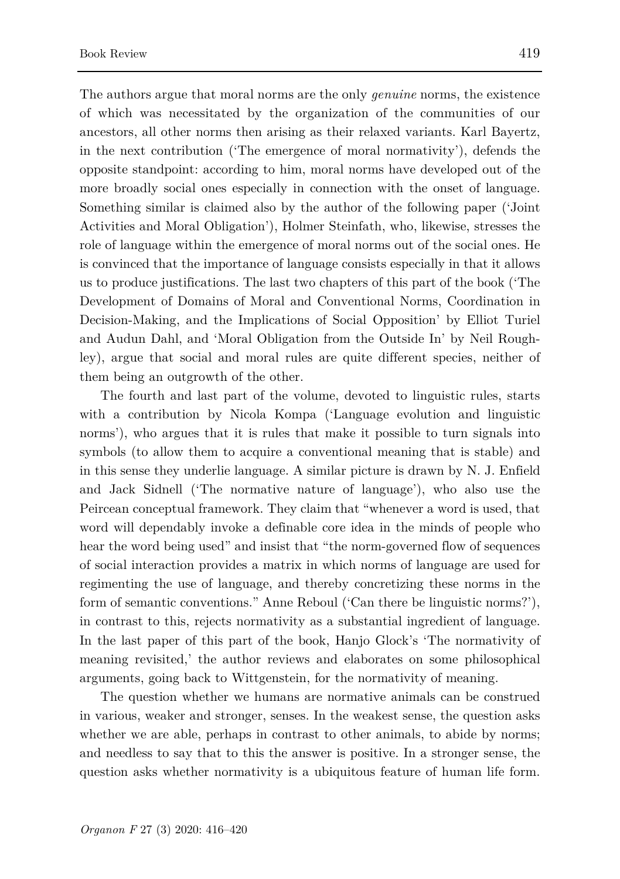The authors argue that moral norms are the only *genuine* norms, the existence of which was necessitated by the organization of the communities of our ancestors, all other norms then arising as their relaxed variants. Karl Bayertz, in the next contribution ('The emergence of moral normativity'), defends the opposite standpoint: according to him, moral norms have developed out of the more broadly social ones especially in connection with the onset of language. Something similar is claimed also by the author of the following paper ('Joint Activities and Moral Obligation'), Holmer Steinfath, who, likewise, stresses the role of language within the emergence of moral norms out of the social ones. He is convinced that the importance of language consists especially in that it allows us to produce justifications. The last two chapters of this part of the book ('The Development of Domains of Moral and Conventional Norms, Coordination in Decision-Making, and the Implications of Social Opposition' by Elliot Turiel and Audun Dahl, and 'Moral Obligation from the Outside In' by Neil Roughley), argue that social and moral rules are quite different species, neither of them being an outgrowth of the other.

The fourth and last part of the volume, devoted to linguistic rules, starts with a contribution by Nicola Kompa ('Language evolution and linguistic norms'), who argues that it is rules that make it possible to turn signals into symbols (to allow them to acquire a conventional meaning that is stable) and in this sense they underlie language. A similar picture is drawn by N. J. Enfield and Jack Sidnell ('The normative nature of language'), who also use the Peircean conceptual framework. They claim that "whenever a word is used, that word will dependably invoke a definable core idea in the minds of people who hear the word being used" and insist that "the norm-governed flow of sequences of social interaction provides a matrix in which norms of language are used for regimenting the use of language, and thereby concretizing these norms in the form of semantic conventions." Anne Reboul ('Can there be linguistic norms?'), in contrast to this, rejects normativity as a substantial ingredient of language. In the last paper of this part of the book, Hanjo Glock's 'The normativity of meaning revisited,' the author reviews and elaborates on some philosophical arguments, going back to Wittgenstein, for the normativity of meaning.

The question whether we humans are normative animals can be construed in various, weaker and stronger, senses. In the weakest sense, the question asks whether we are able, perhaps in contrast to other animals, to abide by norms; and needless to say that to this the answer is positive. In a stronger sense, the question asks whether normativity is a ubiquitous feature of human life form.